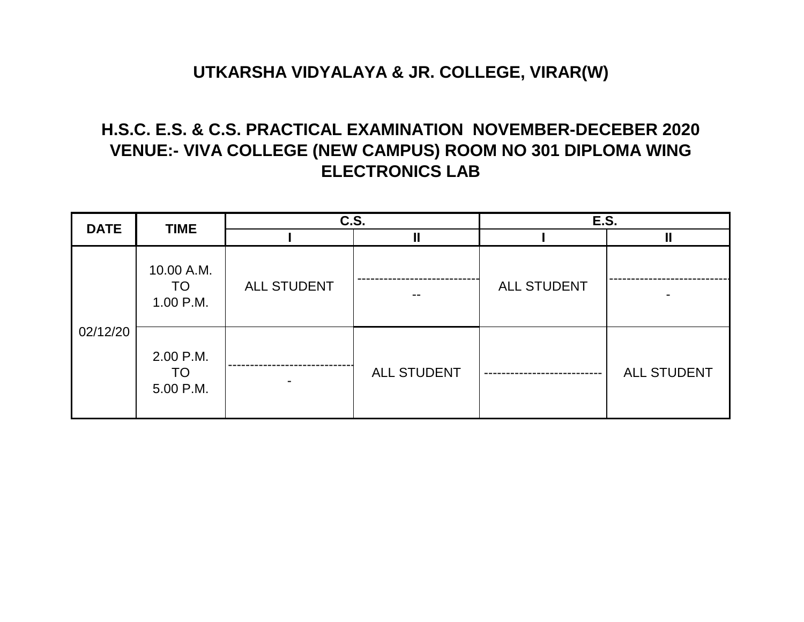# **H.S.C. E.S. & C.S. PRACTICAL EXAMINATION NOVEMBER-DECEBER 2020 VENUE:- VIVA COLLEGE (NEW CAMPUS) ROOM NO 301 DIPLOMA WING ELECTRONICS LAB**

| <b>DATE</b> | <b>TIME</b>                  | $\overline{c.s.}$  |                    | E.S.        |                    |
|-------------|------------------------------|--------------------|--------------------|-------------|--------------------|
|             |                              |                    |                    |             |                    |
| 02/12/20    | 10.00 A.M.                   |                    |                    | ALL STUDENT |                    |
|             | TO<br>1.00 P.M.              | <b>ALL STUDENT</b> |                    |             |                    |
|             | 2.00 P.M.<br>TO<br>5.00 P.M. |                    | <b>ALL STUDENT</b> |             | <b>ALL STUDENT</b> |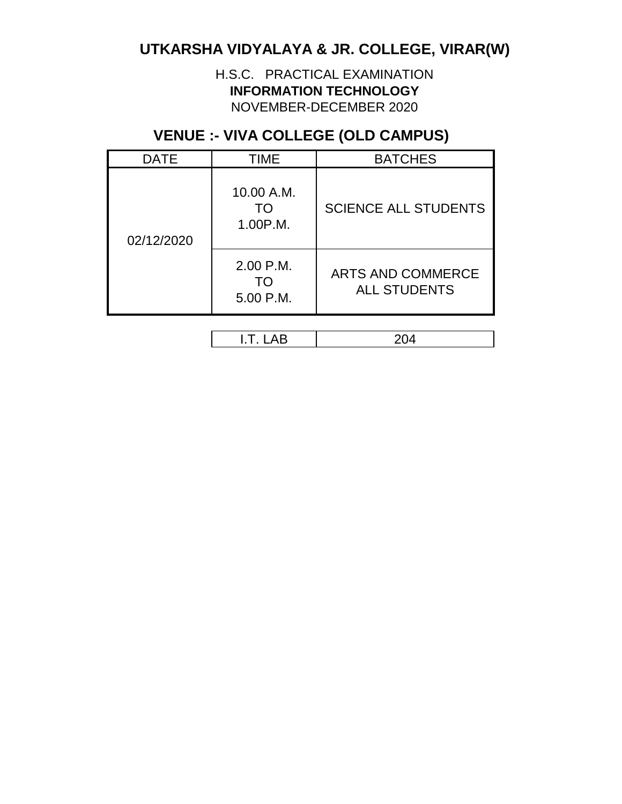H.S.C. PRACTICAL EXAMINATION **INFORMATION TECHNOLOGY**  NOVEMBER-DECEMBER 2020

### **VENUE :- VIVA COLLEGE (OLD CAMPUS)**

| <b>DATE</b> | <b>TIME</b>                  | <b>BATCHES</b>                                  |
|-------------|------------------------------|-------------------------------------------------|
| 02/12/2020  | 10.00 A.M.<br>TΩ<br>1.00P.M. | <b>SCIENCE ALL STUDENTS</b>                     |
|             | 2.00 P.M.<br>TΟ<br>5.00 P.M. | <b>ARTS AND COMMERCE</b><br><b>ALL STUDENTS</b> |

I.T. LAB 204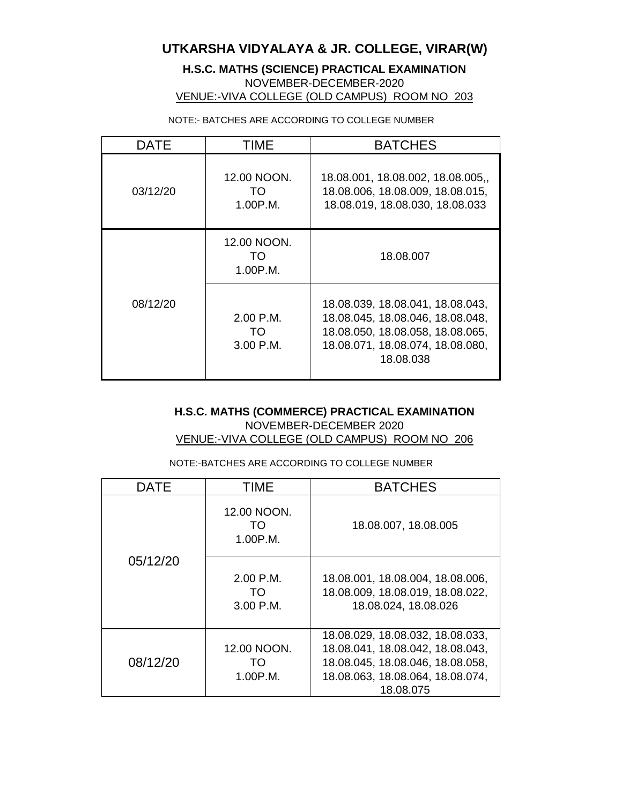**H.S.C. MATHS (SCIENCE) PRACTICAL EXAMINATION**  NOVEMBER-DECEMBER-2020 VENUE:-VIVA COLLEGE (OLD CAMPUS) ROOM NO 203

NOTE:- BATCHES ARE ACCORDING TO COLLEGE NUMBER

| DATE     | TIME                             | <b>BATCHES</b>                                                                                                                                            |  |
|----------|----------------------------------|-----------------------------------------------------------------------------------------------------------------------------------------------------------|--|
| 03/12/20 | 12.00 NOON.<br>TO.<br>1.00P.M.   | 18.08.001, 18.08.002, 18.08.005,<br>18.08.006, 18.08.009, 18.08.015,<br>18.08.019, 18.08.030, 18.08.033                                                   |  |
|          | 12.00 NOON.<br>TO<br>1.00P.M.    | 18.08.007                                                                                                                                                 |  |
| 08/12/20 | $2.00$ P.M.<br>TO<br>$3.00$ P.M. | 18.08.039, 18.08.041, 18.08.043,<br>18.08.045, 18.08.046, 18.08.048,<br>18.08.050, 18.08.058, 18.08.065,<br>18.08.071, 18.08.074, 18.08.080,<br>18.08.038 |  |

#### **H.S.C. MATHS (COMMERCE) PRACTICAL EXAMINATION**  NOVEMBER-DECEMBER 2020 VENUE:-VIVA COLLEGE (OLD CAMPUS) ROOM NO 206

NOTE:-BATCHES ARE ACCORDING TO COLLEGE NUMBER

| DATE     | <b>TIME</b>                   | <b>BATCHES</b>                                                                                                                                            |
|----------|-------------------------------|-----------------------------------------------------------------------------------------------------------------------------------------------------------|
|          | 12.00 NOON.<br>TO<br>1.00P.M. | 18.08.007, 18.08.005                                                                                                                                      |
| 05/12/20 | 2.00 P.M.<br>TO.<br>3.00 P.M. | 18.08.001, 18.08.004, 18.08.006,<br>18.08.009, 18.08.019, 18.08.022,<br>18.08.024, 18.08.026                                                              |
| 08/12/20 | 12.00 NOON.<br>TO<br>1.00P.M. | 18.08.029, 18.08.032, 18.08.033,<br>18.08.041, 18.08.042, 18.08.043,<br>18.08.045, 18.08.046, 18.08.058,<br>18.08.063, 18.08.064, 18.08.074,<br>18.08.075 |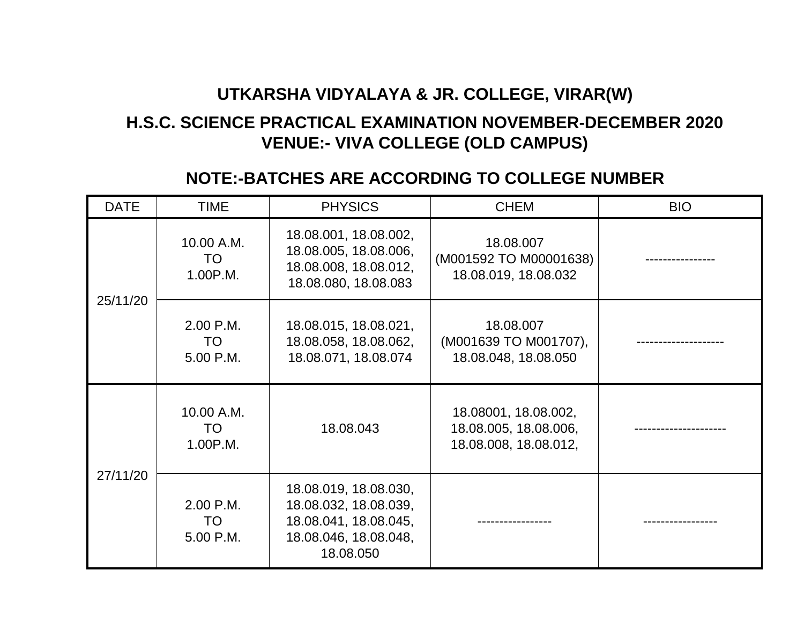# **H.S.C. SCIENCE PRACTICAL EXAMINATION NOVEMBER-DECEMBER 2020 VENUE:- VIVA COLLEGE (OLD CAMPUS)**

### **NOTE:-BATCHES ARE ACCORDING TO COLLEGE NUMBER**

| <b>DATE</b> | <b>TIME</b>                         | <b>PHYSICS</b>                                                                                                | <b>CHEM</b>                                                            | <b>BIO</b> |
|-------------|-------------------------------------|---------------------------------------------------------------------------------------------------------------|------------------------------------------------------------------------|------------|
| 25/11/20    | 10.00 A.M.<br><b>TO</b><br>1.00P.M. | 18.08.001, 18.08.002,<br>18.08.005, 18.08.006,<br>18.08.008, 18.08.012,<br>18.08.080, 18.08.083               | 18.08.007<br>(M001592 TO M00001638)<br>18.08.019, 18.08.032            |            |
|             | 2.00 P.M.<br><b>TO</b><br>5.00 P.M. | 18.08.015, 18.08.021,<br>18.08.058, 18.08.062,<br>18.08.071, 18.08.074                                        | 18.08.007<br>(M001639 TO M001707),<br>18.08.048, 18.08.050             |            |
| 27/11/20    | 10.00 A.M.<br><b>TO</b><br>1.00P.M. | 18.08.043                                                                                                     | 18.08001, 18.08.002,<br>18.08.005, 18.08.006,<br>18.08.008, 18.08.012, |            |
|             | 2.00 P.M.<br>TO<br>5.00 P.M.        | 18.08.019, 18.08.030,<br>18.08.032, 18.08.039,<br>18.08.041, 18.08.045,<br>18.08.046, 18.08.048,<br>18.08.050 |                                                                        |            |